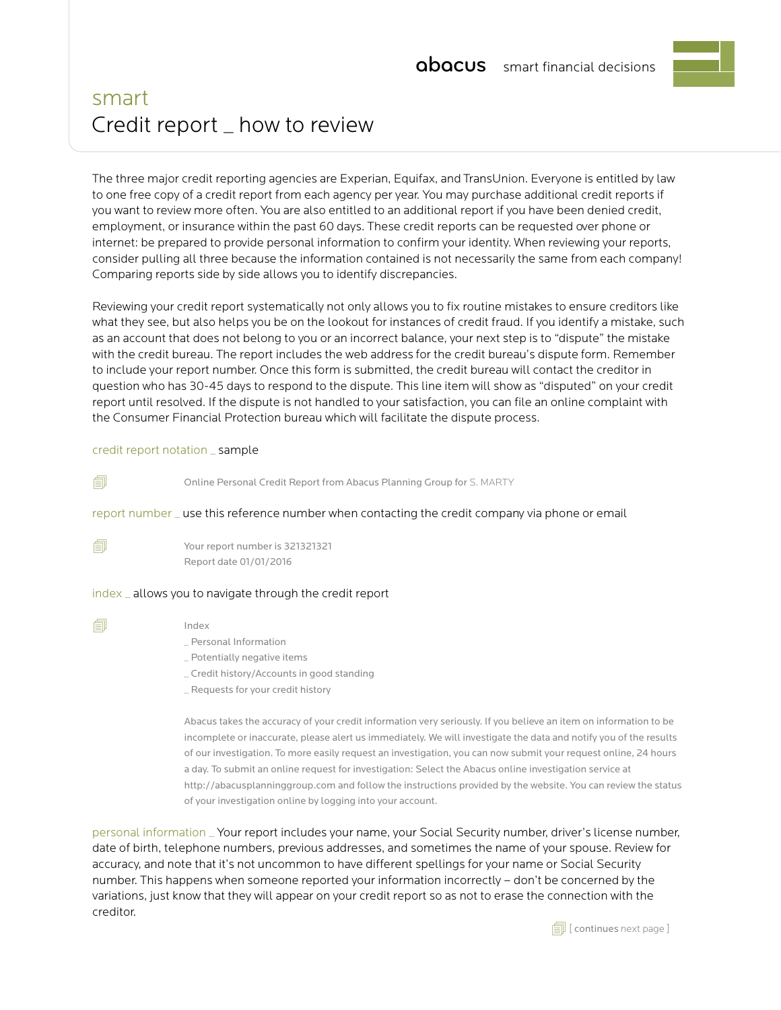# smart Credit report \_ how to review

The three major credit reporting agencies are Experian, Equifax, and TransUnion. Everyone is entitled by law to one free copy of a credit report from each agency per year. You may purchase additional credit reports if you want to review more often. You are also entitled to an additional report if you have been denied credit, employment, or insurance within the past 60 days. These credit reports can be requested over phone or internet: be prepared to provide personal information to confirm your identity. When reviewing your reports, consider pulling all three because the information contained is not necessarily the same from each company! Comparing reports side by side allows you to identify discrepancies.

Reviewing your credit report systematically not only allows you to fix routine mistakes to ensure creditors like what they see, but also helps you be on the lookout for instances of credit fraud. If you identify a mistake, such as an account that does not belong to you or an incorrect balance, your next step is to "dispute" the mistake with the credit bureau. The report includes the web address for the credit bureau's dispute form. Remember to include your report number. Once this form is submitted, the credit bureau will contact the creditor in question who has 30-45 days to respond to the dispute. This line item will show as "disputed" on your credit report until resolved. If the dispute is not handled to your satisfaction, you can file an online complaint with the Consumer Financial Protection bureau which will facilitate the dispute process.

### credit report notation \_ sample

. Online Personal Credit Report from Abacus Planning Group for S. MARTY

report number \_ use this reference number when contacting the credit company via phone or email

 $\Box$  Your report number is 321321321 Report date 01/01/2016

#### index \_ allows you to navigate through the credit report

 $\Box$  Index

- \_ Personal Information
- \_ Potentially negative items
- \_ Credit history/Accounts in good standing
- \_ Requests for your credit history

Abacus takes the accuracy of your credit information very seriously. If you believe an item on information to be incomplete or inaccurate, please alert us immediately. We will investigate the data and notify you of the results of our investigation. To more easily request an investigation, you can now submit your request online, 24 hours a day. To submit an online request for investigation: Select the Abacus online investigation service at http://abacusplanninggroup.com and follow the instructions provided by the website. You can review the status of your investigation online by logging into your account.

personal information \_ Your report includes your name, your Social Security number, driver's license number, date of birth, telephone numbers, previous addresses, and sometimes the name of your spouse. Review for accuracy, and note that it's not uncommon to have different spellings for your name or Social Security number. This happens when someone reported your information incorrectly – don't be concerned by the variations, just know that they will appear on your credit report so as not to erase the connection with the creditor.

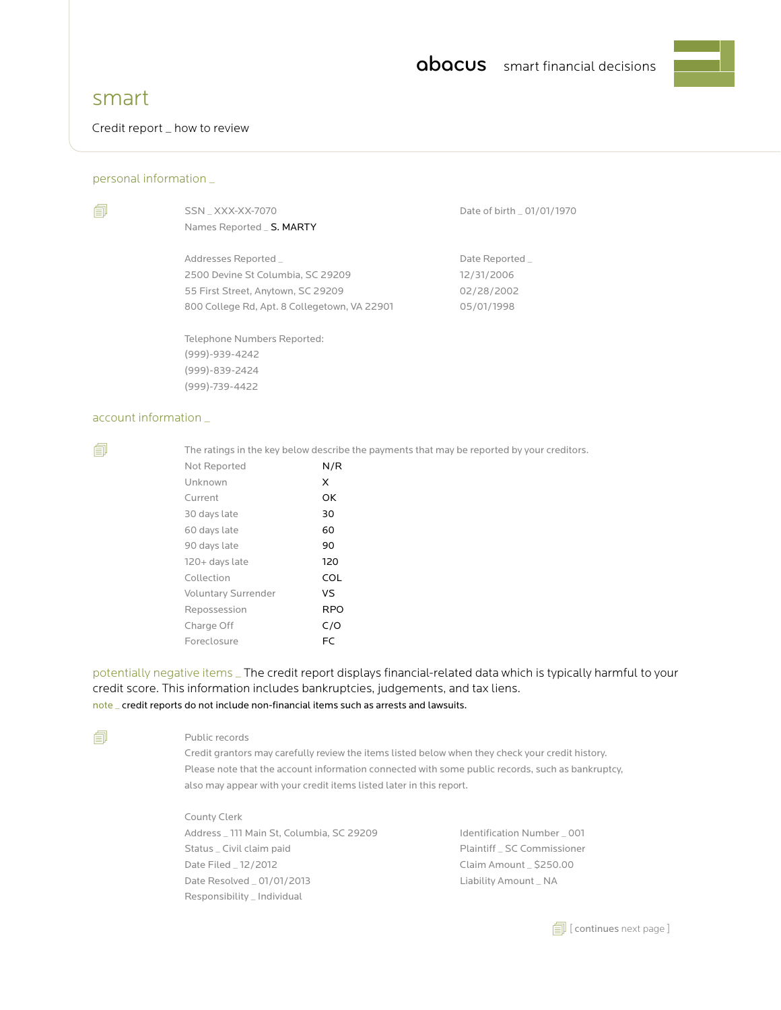

## smart

Credit report \_ how to review

### personal information \_

| W | ł |  |
|---|---|--|

Names Reported \_ S. MARTY

Addresses Reported \_ data by a part of the Date Reported \_ part of  $D$ 2500 Devine St Columbia, SC 29209 12/31/2006 55 First Street, Anytown, SC 29209 02/28/2002 800 College Rd, Apt. 8 Collegetown, VA 22901 05/01/1998

Telephone Numbers Reported: (999)-939-4242 (999)-839-2424 (999)-739-4422

SSN \_ XXX-XX-7070 Date of birth \_ 01/01/1970

### account information

 $\Box$  The ratings in the key below describe the payments that may be reported by your creditors.

| Not Reported               | N/R        |
|----------------------------|------------|
| Unknown                    | X          |
| Current                    | OK         |
| 30 days late               | 30         |
| 60 days late               | 60         |
| 90 days late               | 90         |
| $120+$ days late           | 120        |
| Collection                 | COL        |
| <b>Voluntary Surrender</b> | <b>VS</b>  |
| Repossession               | <b>RPO</b> |
| Charge Off                 | C/O        |
| Foreclosure                | FC         |
|                            |            |

potentially negative items \_ The credit report displays financial-related data which is typically harmful to your credit score. This information includes bankruptcies, judgements, and tax liens. note \_ credit reports do not include non-financial items such as arrests and lawsuits.

#### **<u></u>** Public records

Credit grantors may carefully review the items listed below when they check your credit history. Please note that the account information connected with some public records, such as bankruptcy, also may appear with your credit items listed later in this report.

 County Clerk Address \_ 111 Main St, Columbia, SC 29209 ldentification Number \_ 001 Status \_ Civil claim paid example and paintiff \_ SC Commissioner Date Filed \_ 12/2012 Claim Amount \_ \$250.00 Date Resolved \_ 01/01/2013 <br>
Liability Amount \_ NA Responsibility \_ Individual

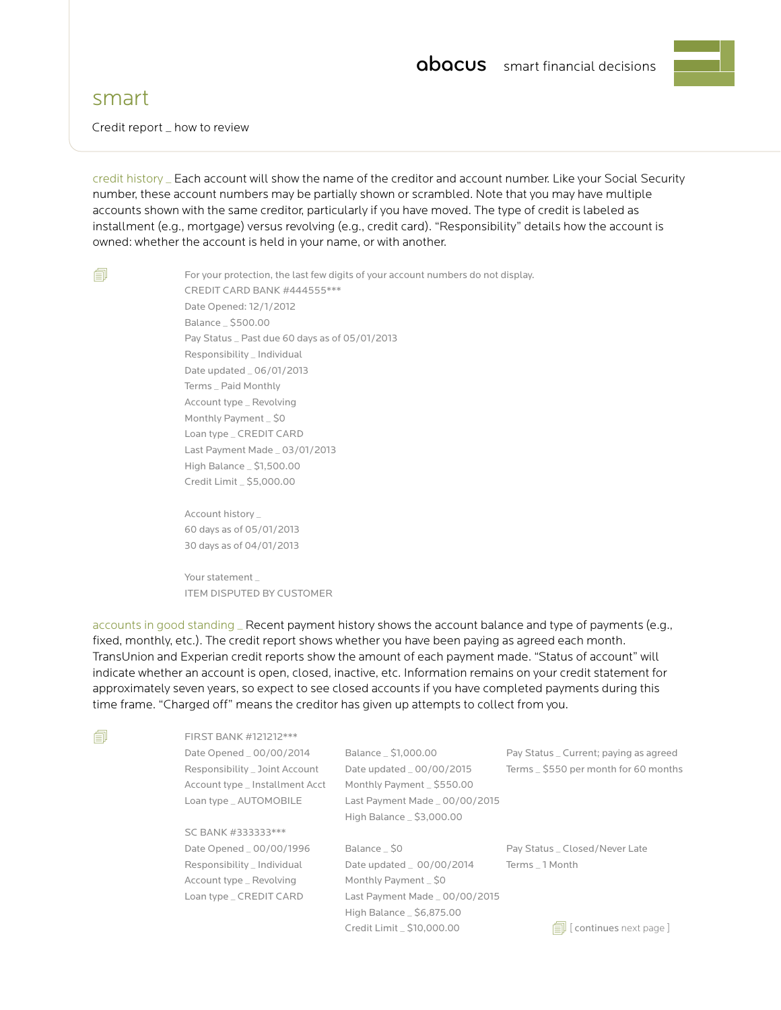## smart

Credit report \_ how to review

credit history \_ Each account will show the name of the creditor and account number. Like your Social Security number, these account numbers may be partially shown or scrambled. Note that you may have multiple accounts shown with the same creditor, particularly if you have moved. The type of credit is labeled as installment (e.g., mortgage) versus revolving (e.g., credit card). "Responsibility" details how the account is owned: whether the account is held in your name, or with another.

 $\Box$  For your protection, the last few digits of your account numbers do not display. CREDIT CARD BANK #444555\*\*\* Date Opened: 12/1/2012 Balance \_ \$500.00 Pay Status \_ Past due 60 days as of 05/01/2013 Responsibility \_ Individual Date updated \_ 06/01/2013 Terms \_ Paid Monthly Account type \_ Revolving Monthly Payment \_ \$0 Loan type \_ CREDIT CARD Last Payment Made \_ 03/01/2013 High Balance \_ \$1,500.00 Credit Limit \_ \$5,000.00

> Account history \_ 60 days as of 05/01/2013 30 days as of 04/01/2013

Your statement ITEM DISPUTED BY CUSTOMER

accounts in good standing \_ Recent payment history shows the account balance and type of payments (e.g., fixed, monthly, etc.). The credit report shows whether you have been paying as agreed each month. TransUnion and Experian credit reports show the amount of each payment made. "Status of account" will indicate whether an account is open, closed, inactive, etc. Information remains on your credit statement for approximately seven years, so expect to see closed accounts if you have completed payments during this time frame. "Charged off" means the creditor has given up attempts to collect from you.

| 卽 | FIRST BANK #121212***           |                                |                                        |
|---|---------------------------------|--------------------------------|----------------------------------------|
|   | Date Opened _ 00/00/2014        | Balance _ \$1,000.00           | Pay Status _ Current; paying as agreed |
|   | Responsibility _ Joint Account  | Date updated _ 00/00/2015      | Terms _ \$550 per month for 60 months  |
|   | Account type _ Installment Acct | Monthly Payment _ \$550.00     |                                        |
|   | Loan type _ AUTOMOBILE          | Last Payment Made _ 00/00/2015 |                                        |
|   |                                 | High Balance _ \$3,000.00      |                                        |
|   | SC BANK #333333***              |                                |                                        |
|   | Date Opened _ 00/00/1996        | Balance _ \$0                  | Pay Status _ Closed/Never Late         |
|   | Responsibility _ Individual     | Date updated _ 00/00/2014      | Terms 1 Month                          |
|   | Account type _ Revolving        | Monthly Payment _ \$0          |                                        |
|   | Loan type _ CREDIT CARD         | Last Payment Made _ 00/00/2015 |                                        |
|   |                                 | High Balance _ \$6,875.00      |                                        |
|   |                                 | Credit Limit _ \$10,000.00     | continues next page                    |